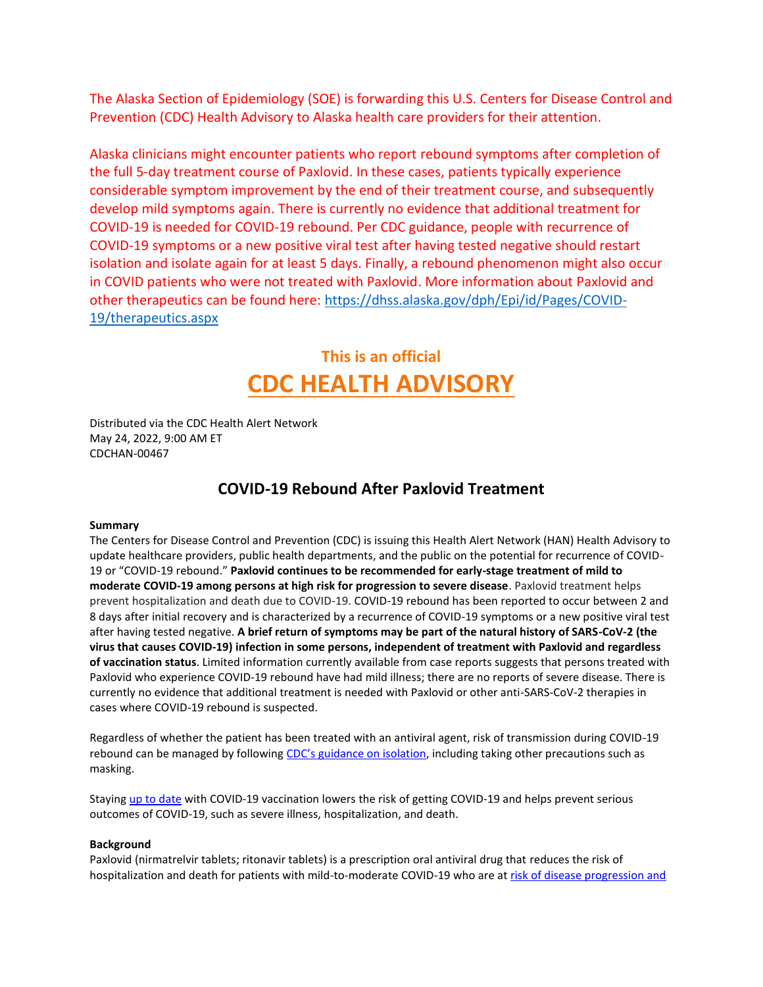The Alaska Section of Epidemiology (SOE) is forwarding this U.S. Centers for Disease Control and Prevention (CDC) Health Advisory to Alaska health care providers for their attention.

Alaska clinicians might encounter patients who report rebound symptoms after completion of the full 5-day treatment course of Paxlovid. In these cases, patients typically experience considerable symptom improvement by the end of their treatment course, and subsequently develop mild symptoms again. There is currently no evidence that additional treatment for COVID-19 is needed for COVID-19 rebound. Per CDC guidance, people with recurrence of COVID-19 symptoms or a new positive viral test after having tested negative should restart isolation and isolate again for at least 5 days. Finally, a rebound phenomenon might also occur in COVID patients who were not treated with Paxlovid. More information about Paxlovid and other therapeutics can be found here: [https://dhss.alaska.gov/dph/Epi/id/Pages/COVID-](https://dhss.alaska.gov/dph/Epi/id/Pages/COVID-19/therapeutics.aspx)[19/therapeutics.aspx](https://dhss.alaska.gov/dph/Epi/id/Pages/COVID-19/therapeutics.aspx)

# **This is an official CDC HEALTH ADVISORY**

Distributed via the CDC Health Alert Network May 24, 2022, 9:00 AM ET CDCHAN-00467

# **COVID-19 Rebound After Paxlovid Treatment**

## **Summary**

The Centers for Disease Control and Prevention (CDC) is issuing this Health Alert Network (HAN) Health Advisory to update healthcare providers, public health departments, and the public on the potential for recurrence of COVID-19 or "COVID-19 rebound." **Paxlovid continues to be recommended for early-stage treatment of mild to moderate COVID-19 among persons at high risk for progression to severe disease**. Paxlovid treatment helps prevent hospitalization and death due to COVID-19. COVID-19 rebound has been reported to occur between 2 and 8 days after initial recovery and is characterized by a recurrence of COVID-19 symptoms or a new positive viral test after having tested negative. **A brief return of symptoms may be part of the natural history of SARS-CoV-2 (the virus that causes COVID-19) infection in some persons, independent of treatment with Paxlovid and regardless of vaccination status**. Limited information currently available from case reports suggests that persons treated with Paxlovid who experience COVID-19 rebound have had mild illness; there are no reports of severe disease. There is currently no evidence that additional treatment is needed with Paxlovid or other anti-SARS-CoV-2 therapies in cases where COVID-19 rebound is suspected.

Regardless of whether the patient has been treated with an antiviral agent, risk of transmission during COVID-19 rebound can be managed by following [CDC's guidance on isolation](https://gcc02.safelinks.protection.outlook.com/?url=https%3A%2F%2Fwww.cdc.gov%2Fcoronavirus%2F2019-ncov%2Fyour-health%2Fquarantine-isolation.html&data=05%7C01%7Clouisa.castrodale%40alaska.gov%7C5f4cc906f751447d05c308da3d878676%7C20030bf67ad942f7927359ea83fcfa38%7C0%7C0%7C637889949551356193%7CUnknown%7CTWFpbGZsb3d8eyJWIjoiMC4wLjAwMDAiLCJQIjoiV2luMzIiLCJBTiI6Ik1haWwiLCJXVCI6Mn0%3D%7C3000%7C%7C%7C&sdata=5CUnZAZac07e%2FPh45lZmjOuukukVALYHw3Jb0M8TliQ%3D&reserved=0), including taking other precautions such as masking.

Staying [up to date](https://gcc02.safelinks.protection.outlook.com/?url=https%3A%2F%2Fwww.cdc.gov%2Fcoronavirus%2F2019-ncov%2Fvaccines%2Fstay-up-to-date.html&data=05%7C01%7Clouisa.castrodale%40alaska.gov%7C5f4cc906f751447d05c308da3d878676%7C20030bf67ad942f7927359ea83fcfa38%7C0%7C0%7C637889949551356193%7CUnknown%7CTWFpbGZsb3d8eyJWIjoiMC4wLjAwMDAiLCJQIjoiV2luMzIiLCJBTiI6Ik1haWwiLCJXVCI6Mn0%3D%7C3000%7C%7C%7C&sdata=UFwXGS96Ao2LYn7r9ev5l7AwEbCxKJW1RcROYvLtnMw%3D&reserved=0) with COVID-19 vaccination lowers the risk of getting COVID-19 and helps prevent serious outcomes of COVID-19, such as severe illness, hospitalization, and death.

#### **Background**

Paxlovid (nirmatrelvir tablets; ritonavir tablets) is a prescription oral antiviral drug that reduces the risk of hospitalization and death for patients with mild-to-moderate COVID-19 who are at risk of disease progression and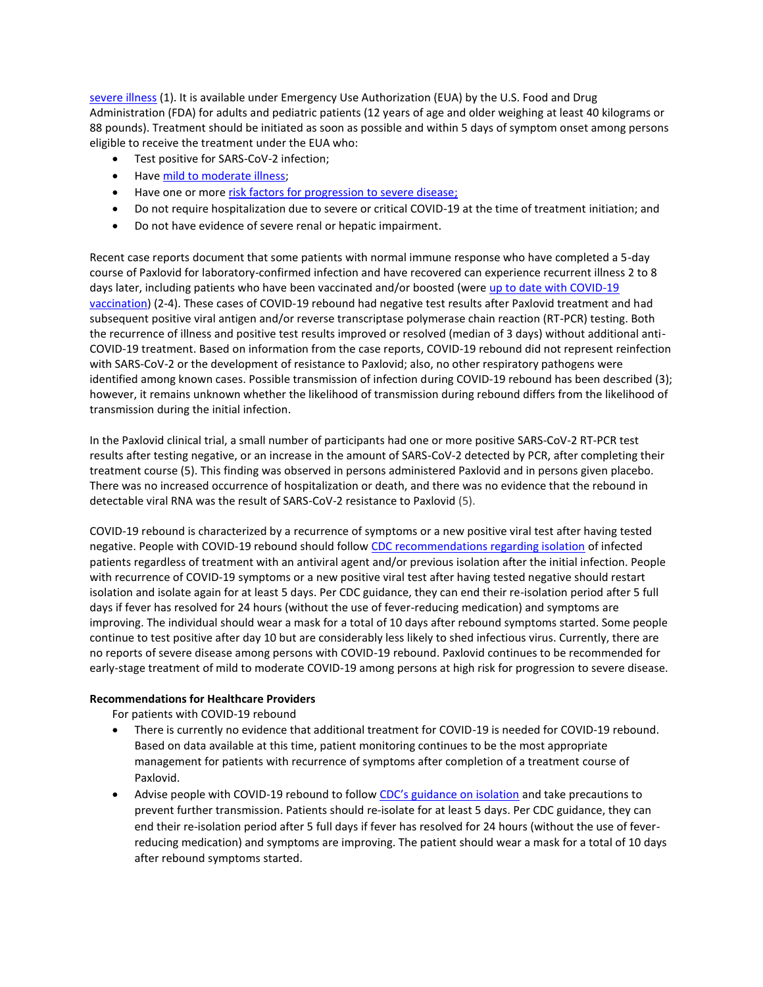[severe illness](https://gcc02.safelinks.protection.outlook.com/?url=https%3A%2F%2Fwww.cdc.gov%2Fcoronavirus%2F2019-ncov%2Fhcp%2Fclinical-care%2Funderlyingconditions.html&data=05%7C01%7Clouisa.castrodale%40alaska.gov%7C5f4cc906f751447d05c308da3d878676%7C20030bf67ad942f7927359ea83fcfa38%7C0%7C0%7C637889949551356193%7CUnknown%7CTWFpbGZsb3d8eyJWIjoiMC4wLjAwMDAiLCJQIjoiV2luMzIiLCJBTiI6Ik1haWwiLCJXVCI6Mn0%3D%7C3000%7C%7C%7C&sdata=hD%2FhK%2Foq3%2BYxLA7tZM31tbmWl6WUpplaNLTiJ2%2FdgAM%3D&reserved=0) (1). It is available under Emergency Use Authorization (EUA) by the U.S. Food and Drug Administration (FDA) for adults and pediatric patients (12 years of age and older weighing at least 40 kilograms or 88 pounds). Treatment should be initiated as soon as possible and within 5 days of symptom onset among persons eligible to receive the treatment under the EUA who:

- Test positive for SARS-CoV-2 infection;
- Have [mild to moderate illness;](https://gcc02.safelinks.protection.outlook.com/?url=https%3A%2F%2Fwww.covid19treatmentguidelines.nih.gov%2Foverview%2Fclinical-spectrum%2F&data=05%7C01%7Clouisa.castrodale%40alaska.gov%7C5f4cc906f751447d05c308da3d878676%7C20030bf67ad942f7927359ea83fcfa38%7C0%7C0%7C637889949551356193%7CUnknown%7CTWFpbGZsb3d8eyJWIjoiMC4wLjAwMDAiLCJQIjoiV2luMzIiLCJBTiI6Ik1haWwiLCJXVCI6Mn0%3D%7C3000%7C%7C%7C&sdata=6eUaStkTDNPF1bwOYGFG%2FEod%2B9R2lwve25Gq3Eb6Wlo%3D&reserved=0)
- Have one or mor[e risk factors for progression to severe disease;](https://gcc02.safelinks.protection.outlook.com/?url=https%3A%2F%2Fwww.cdc.gov%2Fcoronavirus%2F2019-ncov%2Fhcp%2Fclinical-care%2Funderlyingconditions.html&data=05%7C01%7Clouisa.castrodale%40alaska.gov%7C5f4cc906f751447d05c308da3d878676%7C20030bf67ad942f7927359ea83fcfa38%7C0%7C0%7C637889949551356193%7CUnknown%7CTWFpbGZsb3d8eyJWIjoiMC4wLjAwMDAiLCJQIjoiV2luMzIiLCJBTiI6Ik1haWwiLCJXVCI6Mn0%3D%7C3000%7C%7C%7C&sdata=hD%2FhK%2Foq3%2BYxLA7tZM31tbmWl6WUpplaNLTiJ2%2FdgAM%3D&reserved=0)
- Do not require hospitalization due to severe or critical COVID-19 at the time of treatment initiation; and
- Do not have evidence of severe renal or hepatic impairment.

Recent case reports document that some patients with normal immune response who have completed a 5-day course of Paxlovid for laboratory-confirmed infection and have recovered can experience recurrent illness 2 to 8 days later, including patients who have been vaccinated and/or boosted (were up to date with COVID-19 [vaccination\)](https://gcc02.safelinks.protection.outlook.com/?url=https%3A%2F%2Fwww.cdc.gov%2Fcoronavirus%2F2019-ncov%2Fvaccines%2Fstay-up-to-date.html%3Fs_cid%3D11747%3Awhat%2520is%2520up%2520to%2520date%2520on%2520covid%2520vaccine%3Asem.ga%3Ap%3ARG%3AGM%3Agen%3APTN%3AFY22&data=05%7C01%7Clouisa.castrodale%40alaska.gov%7C5f4cc906f751447d05c308da3d878676%7C20030bf67ad942f7927359ea83fcfa38%7C0%7C0%7C637889949551356193%7CUnknown%7CTWFpbGZsb3d8eyJWIjoiMC4wLjAwMDAiLCJQIjoiV2luMzIiLCJBTiI6Ik1haWwiLCJXVCI6Mn0%3D%7C3000%7C%7C%7C&sdata=lBRT%2FdfG7uLU737cZowFIpCgwyP9ayT4fhDIcm%2FDkP8%3D&reserved=0) (2-4). These cases of COVID-19 rebound had negative test results after Paxlovid treatment and had subsequent positive viral antigen and/or reverse transcriptase polymerase chain reaction (RT-PCR) testing. Both the recurrence of illness and positive test results improved or resolved (median of 3 days) without additional anti-COVID-19 treatment. Based on information from the case reports, COVID-19 rebound did not represent reinfection with SARS-CoV-2 or the development of resistance to Paxlovid; also, no other respiratory pathogens were identified among known cases. Possible transmission of infection during COVID-19 rebound has been described (3); however, it remains unknown whether the likelihood of transmission during rebound differs from the likelihood of transmission during the initial infection.

In the Paxlovid clinical trial, a small number of participants had one or more positive SARS-CoV-2 RT-PCR test results after testing negative, or an increase in the amount of SARS-CoV-2 detected by PCR, after completing their treatment course (5). This finding was observed in persons administered Paxlovid and in persons given placebo. There was no increased occurrence of hospitalization or death, and there was no evidence that the rebound in detectable viral RNA was the result of SARS-CoV-2 resistance to Paxlovid (5).

COVID-19 rebound is characterized by a recurrence of symptoms or a new positive viral test after having tested negative. People with COVID-19 rebound should follow [CDC recommendations regarding isolation](https://gcc02.safelinks.protection.outlook.com/?url=https%3A%2F%2Fwww.cdc.gov%2Fcoronavirus%2F2019-ncov%2Fyour-health%2Fquarantine-isolation.html&data=05%7C01%7Clouisa.castrodale%40alaska.gov%7C5f4cc906f751447d05c308da3d878676%7C20030bf67ad942f7927359ea83fcfa38%7C0%7C0%7C637889949551356193%7CUnknown%7CTWFpbGZsb3d8eyJWIjoiMC4wLjAwMDAiLCJQIjoiV2luMzIiLCJBTiI6Ik1haWwiLCJXVCI6Mn0%3D%7C3000%7C%7C%7C&sdata=5CUnZAZac07e%2FPh45lZmjOuukukVALYHw3Jb0M8TliQ%3D&reserved=0) of infected patients regardless of treatment with an antiviral agent and/or previous isolation after the initial infection. People with recurrence of COVID-19 symptoms or a new positive viral test after having tested negative should restart isolation and isolate again for at least 5 days. Per CDC guidance, they can end their re-isolation period after 5 full days if fever has resolved for 24 hours (without the use of fever-reducing medication) and symptoms are improving. The individual should wear a mask for a total of 10 days after rebound symptoms started. Some people continue to test positive after day 10 but are considerably less likely to shed infectious virus. Currently, there are no reports of severe disease among persons with COVID-19 rebound. Paxlovid continues to be recommended for early-stage treatment of mild to moderate COVID-19 among persons at high risk for progression to severe disease.

#### **Recommendations for Healthcare Providers**

For patients with COVID-19 rebound

- There is currently no evidence that additional treatment for COVID-19 is needed for COVID-19 rebound. Based on data available at this time, patient monitoring continues to be the most appropriate management for patients with recurrence of symptoms after completion of a treatment course of Paxlovid.
- Advise people with COVID-19 rebound to follow [CDC's guidance on isolation](https://gcc02.safelinks.protection.outlook.com/?url=https%3A%2F%2Fwww.cdc.gov%2Fcoronavirus%2F2019-ncov%2Fyour-health%2Fquarantine-isolation.html&data=05%7C01%7Clouisa.castrodale%40alaska.gov%7C5f4cc906f751447d05c308da3d878676%7C20030bf67ad942f7927359ea83fcfa38%7C0%7C0%7C637889949551356193%7CUnknown%7CTWFpbGZsb3d8eyJWIjoiMC4wLjAwMDAiLCJQIjoiV2luMzIiLCJBTiI6Ik1haWwiLCJXVCI6Mn0%3D%7C3000%7C%7C%7C&sdata=5CUnZAZac07e%2FPh45lZmjOuukukVALYHw3Jb0M8TliQ%3D&reserved=0) and take precautions to prevent further transmission. Patients should re-isolate for at least 5 days. Per CDC guidance, they can end their re-isolation period after 5 full days if fever has resolved for 24 hours (without the use of feverreducing medication) and symptoms are improving. The patient should wear a mask for a total of 10 days after rebound symptoms started.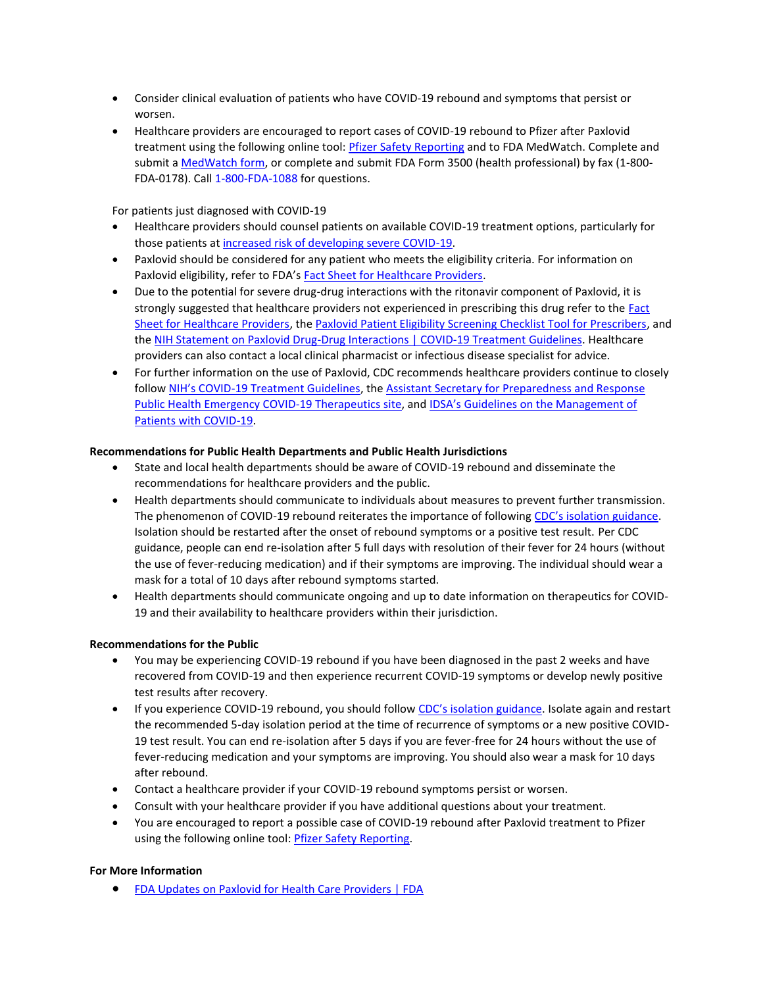- Consider clinical evaluation of patients who have COVID-19 rebound and symptoms that persist or worsen.
- Healthcare providers are encouraged to report cases of COVID-19 rebound to Pfizer after Paxlovid treatment using the following online tool: [Pfizer Safety Reporting](https://gcc02.safelinks.protection.outlook.com/?url=https%3A%2F%2Fpaxaes.pfizersafetyreporting.com%2F%23%2Fen&data=05%7C01%7Clouisa.castrodale%40alaska.gov%7C5f4cc906f751447d05c308da3d878676%7C20030bf67ad942f7927359ea83fcfa38%7C0%7C0%7C637889949551356193%7CUnknown%7CTWFpbGZsb3d8eyJWIjoiMC4wLjAwMDAiLCJQIjoiV2luMzIiLCJBTiI6Ik1haWwiLCJXVCI6Mn0%3D%7C3000%7C%7C%7C&sdata=nj40rI76ZjCI%2FrLBlQWNLh2c79n6jHGJVZXuhndfWhY%3D&reserved=0) and to FDA MedWatch. Complete and submit [a MedWatch form,](https://gcc02.safelinks.protection.outlook.com/?url=http%3A%2F%2Fwww.fda.gov%2Fmedwatch%2Freport.htm&data=05%7C01%7Clouisa.castrodale%40alaska.gov%7C5f4cc906f751447d05c308da3d878676%7C20030bf67ad942f7927359ea83fcfa38%7C0%7C0%7C637889949551356193%7CUnknown%7CTWFpbGZsb3d8eyJWIjoiMC4wLjAwMDAiLCJQIjoiV2luMzIiLCJBTiI6Ik1haWwiLCJXVCI6Mn0%3D%7C3000%7C%7C%7C&sdata=EC3pEa5tl4NRioPDNCCzIUQ%2BdazbaojJZiSSL2CGGS8%3D&reserved=0) or complete and submit FDA Form 3500 (health professional) by fax (1-800- FDA-0178). Call 1-800-FDA-1088 for questions.

For patients just diagnosed with COVID-19

- Healthcare providers should counsel patients on available COVID-19 treatment options, particularly for those patients at [increased risk of developing severe COVID-19.](https://gcc02.safelinks.protection.outlook.com/?url=https%3A%2F%2Fwww.cdc.gov%2Fcoronavirus%2F2019-ncov%2Fhcp%2Fclinical-care%2Funderlyingconditions.html&data=05%7C01%7Clouisa.castrodale%40alaska.gov%7C5f4cc906f751447d05c308da3d878676%7C20030bf67ad942f7927359ea83fcfa38%7C0%7C0%7C637889949551356193%7CUnknown%7CTWFpbGZsb3d8eyJWIjoiMC4wLjAwMDAiLCJQIjoiV2luMzIiLCJBTiI6Ik1haWwiLCJXVCI6Mn0%3D%7C3000%7C%7C%7C&sdata=hD%2FhK%2Foq3%2BYxLA7tZM31tbmWl6WUpplaNLTiJ2%2FdgAM%3D&reserved=0)
- Paxlovid should be considered for any patient who meets the eligibility criteria. For information on Paxlovid eligibility, refer to FDA's [Fact Sheet for Healthcare Providers.](https://gcc02.safelinks.protection.outlook.com/?url=https%3A%2F%2Fwww.fda.gov%2Fmedia%2F155050%2Fdownload&data=05%7C01%7Clouisa.castrodale%40alaska.gov%7C5f4cc906f751447d05c308da3d878676%7C20030bf67ad942f7927359ea83fcfa38%7C0%7C0%7C637889949551356193%7CUnknown%7CTWFpbGZsb3d8eyJWIjoiMC4wLjAwMDAiLCJQIjoiV2luMzIiLCJBTiI6Ik1haWwiLCJXVCI6Mn0%3D%7C3000%7C%7C%7C&sdata=%2FmuxaYII4XVyH2yLgaYOK8R7HG3w3GByan9a4%2BmwV%2FY%3D&reserved=0)
- Due to the potential for severe drug-drug interactions with the ritonavir component of Paxlovid, it is strongly suggested that healthcare providers not experienced in prescribing this drug refer to the **Fact** [Sheet for Healthcare Providers,](https://gcc02.safelinks.protection.outlook.com/?url=https%3A%2F%2Fwww.fda.gov%2Fmedia%2F155050%2Fdownload&data=05%7C01%7Clouisa.castrodale%40alaska.gov%7C5f4cc906f751447d05c308da3d878676%7C20030bf67ad942f7927359ea83fcfa38%7C0%7C0%7C637889949551512400%7CUnknown%7CTWFpbGZsb3d8eyJWIjoiMC4wLjAwMDAiLCJQIjoiV2luMzIiLCJBTiI6Ik1haWwiLCJXVCI6Mn0%3D%7C3000%7C%7C%7C&sdata=cM31ZBMTIrjzyH4ySfzsUuyGrZra1aEmkOlzjzTBUqY%3D&reserved=0) the [Paxlovid Patient Eligibility Screening Checklist Tool for Prescribers,](https://gcc02.safelinks.protection.outlook.com/?url=https%3A%2F%2Fwww.fda.gov%2Fmedia%2F158165%2Fdownload&data=05%7C01%7Clouisa.castrodale%40alaska.gov%7C5f4cc906f751447d05c308da3d878676%7C20030bf67ad942f7927359ea83fcfa38%7C0%7C0%7C637889949551512400%7CUnknown%7CTWFpbGZsb3d8eyJWIjoiMC4wLjAwMDAiLCJQIjoiV2luMzIiLCJBTiI6Ik1haWwiLCJXVCI6Mn0%3D%7C3000%7C%7C%7C&sdata=dCDPVEIB%2B3UhHl1hKB2BnWGuNOoQ0oBH%2FsFfFnZnUFI%3D&reserved=0) and the [NIH Statement on Paxlovid Drug-Drug Interactions | COVID-19 Treatment Guidelines.](https://gcc02.safelinks.protection.outlook.com/?url=https%3A%2F%2Fwww.covid19treatmentguidelines.nih.gov%2Ftherapies%2Fantiviral-therapy%2Fritonavir-boosted-nirmatrelvir--paxlovid-%2Fpaxlovid-drug-drug-interactions%2F&data=05%7C01%7Clouisa.castrodale%40alaska.gov%7C5f4cc906f751447d05c308da3d878676%7C20030bf67ad942f7927359ea83fcfa38%7C0%7C0%7C637889949551512400%7CUnknown%7CTWFpbGZsb3d8eyJWIjoiMC4wLjAwMDAiLCJQIjoiV2luMzIiLCJBTiI6Ik1haWwiLCJXVCI6Mn0%3D%7C3000%7C%7C%7C&sdata=uuSPBUBoHuGUAfi6%2F%2FRbW7v5e4x%2BcXBHRCLoJAP5R4Y%3D&reserved=0) Healthcare providers can also contact a local clinical pharmacist or infectious disease specialist for advice.
- For further information on the use of Paxlovid, CDC recommends healthcare providers continue to closely follow NIH's COVID[-19 Treatment Guidelines,](https://gcc02.safelinks.protection.outlook.com/?url=https%3A%2F%2Fwww.covid19treatmentguidelines.nih.gov%2F&data=05%7C01%7Clouisa.castrodale%40alaska.gov%7C5f4cc906f751447d05c308da3d878676%7C20030bf67ad942f7927359ea83fcfa38%7C0%7C0%7C637889949551512400%7CUnknown%7CTWFpbGZsb3d8eyJWIjoiMC4wLjAwMDAiLCJQIjoiV2luMzIiLCJBTiI6Ik1haWwiLCJXVCI6Mn0%3D%7C3000%7C%7C%7C&sdata=Q1TvxZEqHdYSbtIXBlMQcK%2FVN%2FIZATqyG34uNep0Cfk%3D&reserved=0) the [Assistant Secretary for Preparedness and Response](https://gcc02.safelinks.protection.outlook.com/?url=https%3A%2F%2Fwww.phe.gov%2Femergency%2Fevents%2FCOVID19%2Ftherapeutics%2Fupdate-23Dec2021%2FPages%2Fdefault.aspx&data=05%7C01%7Clouisa.castrodale%40alaska.gov%7C5f4cc906f751447d05c308da3d878676%7C20030bf67ad942f7927359ea83fcfa38%7C0%7C0%7C637889949551512400%7CUnknown%7CTWFpbGZsb3d8eyJWIjoiMC4wLjAwMDAiLCJQIjoiV2luMzIiLCJBTiI6Ik1haWwiLCJXVCI6Mn0%3D%7C3000%7C%7C%7C&sdata=g8hNrrVxw%2BZq2IvylNoEaI58w7qS1XasyoldUck1oFo%3D&reserved=0)  [Public Health Emergency COVID-19 Therapeutics site,](https://gcc02.safelinks.protection.outlook.com/?url=https%3A%2F%2Fwww.phe.gov%2Femergency%2Fevents%2FCOVID19%2Ftherapeutics%2Fupdate-23Dec2021%2FPages%2Fdefault.aspx&data=05%7C01%7Clouisa.castrodale%40alaska.gov%7C5f4cc906f751447d05c308da3d878676%7C20030bf67ad942f7927359ea83fcfa38%7C0%7C0%7C637889949551512400%7CUnknown%7CTWFpbGZsb3d8eyJWIjoiMC4wLjAwMDAiLCJQIjoiV2luMzIiLCJBTiI6Ik1haWwiLCJXVCI6Mn0%3D%7C3000%7C%7C%7C&sdata=g8hNrrVxw%2BZq2IvylNoEaI58w7qS1XasyoldUck1oFo%3D&reserved=0) and [IDSA's Guidelines on the Management of](https://gcc02.safelinks.protection.outlook.com/?url=https%3A%2F%2Fwww.idsociety.org%2Fpractice-guideline%2Fcovid-19-guideline-treatment-and-management%2F&data=05%7C01%7Clouisa.castrodale%40alaska.gov%7C5f4cc906f751447d05c308da3d878676%7C20030bf67ad942f7927359ea83fcfa38%7C0%7C0%7C637889949551512400%7CUnknown%7CTWFpbGZsb3d8eyJWIjoiMC4wLjAwMDAiLCJQIjoiV2luMzIiLCJBTiI6Ik1haWwiLCJXVCI6Mn0%3D%7C3000%7C%7C%7C&sdata=nnYoHnMM63GY5Ih82M4XyVqyb10BJoky%2BqfPYGNQsNc%3D&reserved=0)  [Patients with COVID-19.](https://gcc02.safelinks.protection.outlook.com/?url=https%3A%2F%2Fwww.idsociety.org%2Fpractice-guideline%2Fcovid-19-guideline-treatment-and-management%2F&data=05%7C01%7Clouisa.castrodale%40alaska.gov%7C5f4cc906f751447d05c308da3d878676%7C20030bf67ad942f7927359ea83fcfa38%7C0%7C0%7C637889949551512400%7CUnknown%7CTWFpbGZsb3d8eyJWIjoiMC4wLjAwMDAiLCJQIjoiV2luMzIiLCJBTiI6Ik1haWwiLCJXVCI6Mn0%3D%7C3000%7C%7C%7C&sdata=nnYoHnMM63GY5Ih82M4XyVqyb10BJoky%2BqfPYGNQsNc%3D&reserved=0)

# **Recommendations for Public Health Departments and Public Health Jurisdictions**

- State and local health departments should be aware of COVID-19 rebound and disseminate the recommendations for healthcare providers and the public.
- Health departments should communicate to individuals about measures to prevent further transmission. The phenomenon of COVID-19 rebound reiterates the importance of following [CDC's isolation guidance](https://gcc02.safelinks.protection.outlook.com/?url=https%3A%2F%2Fwww.cdc.gov%2Fcoronavirus%2F2019-ncov%2Fyour-health%2Fquarantine-isolation.html&data=05%7C01%7Clouisa.castrodale%40alaska.gov%7C5f4cc906f751447d05c308da3d878676%7C20030bf67ad942f7927359ea83fcfa38%7C0%7C0%7C637889949551512400%7CUnknown%7CTWFpbGZsb3d8eyJWIjoiMC4wLjAwMDAiLCJQIjoiV2luMzIiLCJBTiI6Ik1haWwiLCJXVCI6Mn0%3D%7C3000%7C%7C%7C&sdata=B95FtE2b5OBguBLljec%2FOrNM8%2FPoBPjR5rBMdYUWcYM%3D&reserved=0). Isolation should be restarted after the onset of rebound symptoms or a positive test result. Per CDC guidance, people can end re-isolation after 5 full days with resolution of their fever for 24 hours (without the use of fever-reducing medication) and if their symptoms are improving. The individual should wear a mask for a total of 10 days after rebound symptoms started.
- Health departments should communicate ongoing and up to date information on therapeutics for COVID-19 and their availability to healthcare providers within their jurisdiction.

## **Recommendations for the Public**

- You may be experiencing COVID-19 rebound if you have been diagnosed in the past 2 weeks and have recovered from COVID-19 and then experience recurrent COVID-19 symptoms or develop newly positive test results after recovery.
- If you experience COVID-19 rebound, you should follow [CDC's isolation guidance](https://gcc02.safelinks.protection.outlook.com/?url=https%3A%2F%2Fwww.cdc.gov%2Fcoronavirus%2F2019-ncov%2Fyour-health%2Fquarantine-isolation.html&data=05%7C01%7Clouisa.castrodale%40alaska.gov%7C5f4cc906f751447d05c308da3d878676%7C20030bf67ad942f7927359ea83fcfa38%7C0%7C0%7C637889949551512400%7CUnknown%7CTWFpbGZsb3d8eyJWIjoiMC4wLjAwMDAiLCJQIjoiV2luMzIiLCJBTiI6Ik1haWwiLCJXVCI6Mn0%3D%7C3000%7C%7C%7C&sdata=B95FtE2b5OBguBLljec%2FOrNM8%2FPoBPjR5rBMdYUWcYM%3D&reserved=0). Isolate again and restart the recommended 5-day isolation period at the time of recurrence of symptoms or a new positive COVID-19 test result. You can end re-isolation after 5 days if you are fever-free for 24 hours without the use of fever-reducing medication and your symptoms are improving. You should also wear a mask for 10 days after rebound.
- Contact a healthcare provider if your COVID-19 rebound symptoms persist or worsen.
- Consult with your healthcare provider if you have additional questions about your treatment.
- You are encouraged to report a possible case of COVID-19 rebound after Paxlovid treatment to Pfizer using the following online tool: [Pfizer Safety Reporting.](https://gcc02.safelinks.protection.outlook.com/?url=https%3A%2F%2Fpaxaes.pfizersafetyreporting.com%2F%23%2Fen&data=05%7C01%7Clouisa.castrodale%40alaska.gov%7C5f4cc906f751447d05c308da3d878676%7C20030bf67ad942f7927359ea83fcfa38%7C0%7C0%7C637889949551512400%7CUnknown%7CTWFpbGZsb3d8eyJWIjoiMC4wLjAwMDAiLCJQIjoiV2luMzIiLCJBTiI6Ik1haWwiLCJXVCI6Mn0%3D%7C3000%7C%7C%7C&sdata=5dFLfX3U28MkUE045x8MczvepEJxN7QSw%2BLu9jRksuo%3D&reserved=0)

## **For More Information**

• [FDA Updates on Paxlovid for Health Care Providers | FDA](https://gcc02.safelinks.protection.outlook.com/?url=https%3A%2F%2Fwww.fda.gov%2Fdrugs%2Fnews-events-human-drugs%2Ffda-updates-paxlovid-health-care-providers&data=05%7C01%7Clouisa.castrodale%40alaska.gov%7C5f4cc906f751447d05c308da3d878676%7C20030bf67ad942f7927359ea83fcfa38%7C0%7C0%7C637889949551512400%7CUnknown%7CTWFpbGZsb3d8eyJWIjoiMC4wLjAwMDAiLCJQIjoiV2luMzIiLCJBTiI6Ik1haWwiLCJXVCI6Mn0%3D%7C3000%7C%7C%7C&sdata=%2F9yl%2BxR%2F1gCKplusGarGeJJHl%2BzwLp1mgEh1v6FifvA%3D&reserved=0)